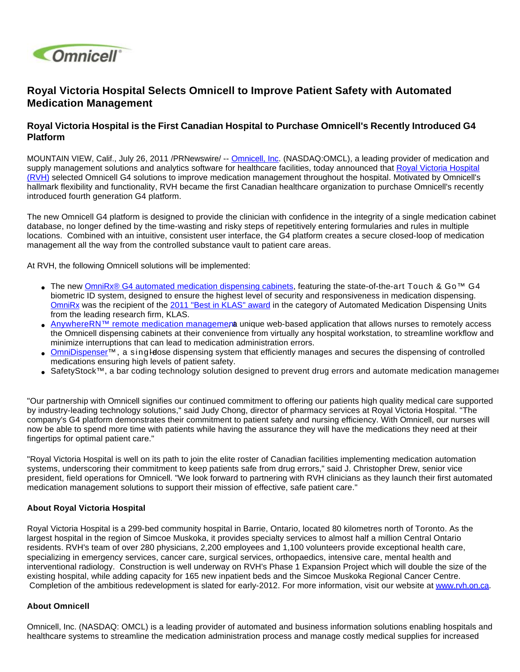

## **Royal Victoria Hospital Selects Omnicell to Improve Patient Safety with Automated Medication Management**

## **Royal Victoria Hospital is the First Canadian Hospital to Purchase Omnicell's Recently Introduced G4 Platform**

MOUNTAIN VIEW, Calif., July 26, 2011 /PRNewswire/ -- [Omnicell, Inc](http://www.omnicell.com/). (NASDAQ:OMCL), a leading provider of medication and supply management solutions and analytics software for healthcare facilities, today announced that [Royal Victoria Hospital](http://www.rvh.on.ca/) [\(RVH\)](http://www.rvh.on.ca/) selected Omnicell G4 solutions to improve medication management throughout the hospital. Motivated by Omnicell's hallmark flexibility and functionality, RVH became the first Canadian healthcare organization to purchase Omnicell's recently introduced fourth generation G4 platform.

The new Omnicell G4 platform is designed to provide the clinician with confidence in the integrity of a single medication cabinet database, no longer defined by the time-wasting and risky steps of repetitively entering formularies and rules in multiple locations. Combined with an intuitive, consistent user interface, the G4 platform creates a secure closed-loop of medication management all the way from the controlled substance vault to patient care areas.

At RVH, the following Omnicell solutions will be implemented:

- The new [OmniRx® G4 automated medication dispensing cabinets,](http://www.omnicell.com/Solutions/Medication-Dispensing/Automated-Dispensing-Cabinets/Pages/OmniRx.aspx) featuring the state-of-the-art Touch & Go<sup>™</sup> G4 biometric ID system, designed to ensure the highest level of security and responsiveness in medication dispensing. [OmniRx](http://www.klasresearch.com/Research/Products/?id=1775) was the recipient of the [2011 "Best in KLAS" award](http://www.omnicell.com/NewsEvents/NewsReleases/Pages/Omnicell%E2%80%99sOmniRxAutomatedMedicationDispensingSystemReceives2011BestinKLASAward.aspx) in the category of Automated Medication Dispensing Units from the leading research firm, KLAS.
- [AnywhereRN™ remote medication manageme](http://www.omnicell.com/Solutions/Medication-Dispensing/Pages/AnywhereRN.aspx)nt unique web-based application that allows nurses to remotely access the Omnicell dispensing cabinets at their convenience from virtually any hospital workstation, to streamline workflow and minimize interruptions that can lead to medication administration errors.
- [OmniDispenser™](http://www.omnicell.com/Solutions/Medication-Dispensing/Pages/OmniDispenser.aspx), a singledose dispensing system that efficiently manages and secures the dispensing of controlled medications ensuring high levels of patient safety.
- SafetyStock™, a bar coding technology solution designed to prevent drug errors and automate medication management

"Our partnership with Omnicell signifies our continued commitment to offering our patients high quality medical care supported by industry-leading technology solutions," said Judy Chong, director of pharmacy services at Royal Victoria Hospital. "The company's G4 platform demonstrates their commitment to patient safety and nursing efficiency. With Omnicell, our nurses will now be able to spend more time with patients while having the assurance they will have the medications they need at their fingertips for optimal patient care."

"Royal Victoria Hospital is well on its path to join the elite roster of Canadian facilities implementing medication automation systems, underscoring their commitment to keep patients safe from drug errors," said J. Christopher Drew, senior vice president, field operations for Omnicell. "We look forward to partnering with RVH clinicians as they launch their first automated medication management solutions to support their mission of effective, safe patient care."

## **About Royal Victoria Hospital**

Royal Victoria Hospital is a 299-bed community hospital in Barrie, Ontario, located 80 kilometres north of Toronto. As the largest hospital in the region of Simcoe Muskoka, it provides specialty services to almost half a million Central Ontario residents. RVH's team of over 280 physicians, 2,200 employees and 1,100 volunteers provide exceptional health care, specializing in emergency services, cancer care, surgical services, orthopaedics, intensive care, mental health and interventional radiology. Construction is well underway on RVH's Phase 1 Expansion Project which will double the size of the existing hospital, while adding capacity for 165 new inpatient beds and the Simcoe Muskoka Regional Cancer Centre. Completion of the ambitious redevelopment is slated for early-2012. For more information, visit our website at [www.rvh.on.ca.](http://www.rvh.on.ca/)

## **About Omnicell**

Omnicell, Inc. (NASDAQ: OMCL) is a leading provider of automated and business information solutions enabling hospitals and healthcare systems to streamline the medication administration process and manage costly medical supplies for increased